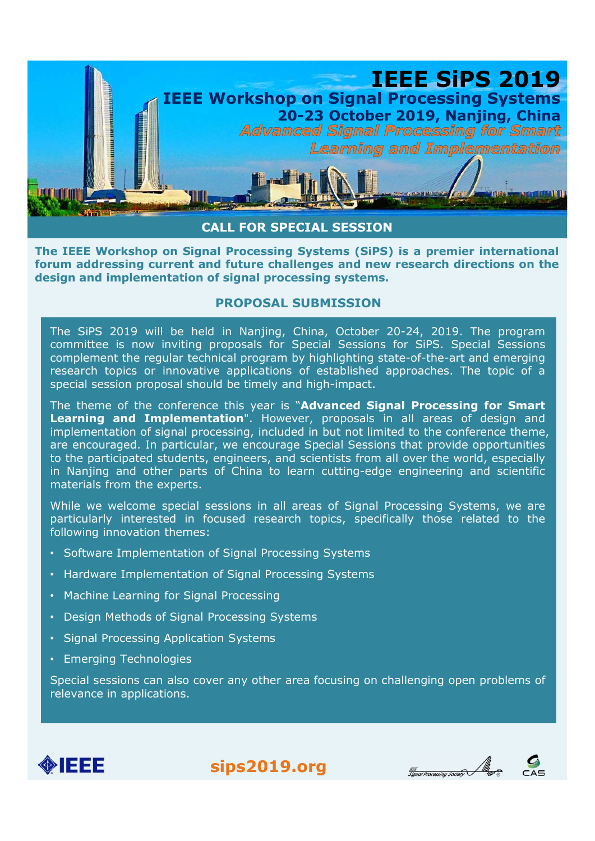

## PROPOSAL SUBMISSION

**is a signal processing Systems** (SIPS) is a premier international eural detection of signal Processing Systems (SIPS) is a premier international cum addressing current and future challenges and new research directions on **EXECUTE:**<br> **EXECUTE:**<br> **EXECUTE:**<br> **EXECUTE:**<br> **EXECUTE:**<br> **EXECUTE:**<br> **EXECUTE:**<br> **EXECUTE:**<br> **EXECUTE:**<br> **EXECUTE:**<br> **EXECUTE:**<br> **EXECUTE:**<br> **EXECUTE:**<br> **EXECUTE:**<br> **EXECUTE:**<br> **EXECUTE:**<br> **EXECUTE:**<br> **EXECUTE:**<br> **EXECU** The particular and the particular particles in Nanjing and other particles in Naping City and the particles in Signal Processing Systems (SiPS) is a premier international<br>turn addressing current and future challenges and n **EXECT THE SESSION**<br> **EXECT THE CONSET CONSET CONSETS (SIPS)** is a premier international<br>
rum addressing current and future challenges and new research directions on the<br>
sign and implementation of signal processing system **CALL FOR SPECIAL SESSION**<br> **CALL FOR SPECIAL SESSION**<br> **CALL FOR SPECIAL SESSION**<br> **CALL FOR SPECIAL SUSNISSION**<br> **CALL FOR SPECIAL SUSNISSION**<br> **CROPOSAL SUBNISSION**<br>
The SiPS 2019 will be held in Nanjing, China, October e IEEE Workshop on Signal Processing Systems (SiPS) is a premier international<br>
rum addressing current and thrume challenges and new research directions on the<br>
sign and implementation of signal processing systems.<br>
PROPOS **Example 19** and the held in Nanjing Systems (SPFs) is a prelimiteration of the research topically and implementation of signal processing systems.<br> **PROPOSAL SUBMISSION**<br>
The SiPS 2019 will be held in Nanjing, China, Octo dignal and implementation of signal processing systems.<br>
For Signal processing systems.<br> **EXECUTE:** The SiPS 2019 will be held in Nanjing, China, October 20-24, 2019. The<br>
committee is now inviting proposals for Special Se **EROPOSAL SUBMISSION**<br> **EROPOSAL SUBMISSION**<br> **The SiPS 2019 will be held in Nanjing, China, October 20-24, 2019. The program**<br>
committee is now inviting proposals for Special Sessions for SiPS. Special Sessions<br>
research The SiPS 2019 will be held in Nanjing, China, October 20-24, 2019. The program<br>committee is now inviting proposals for Special Sessions for SiPS. Special Sessions<br>complement the regular technical program by highlighting st The Signal The Held in Nanjing, China, October 20-24, 2019<br>
committee is now inviting proposals for Special Sessions for Sipes. Special Sessions<br>
complement the regular technical program by highlighting state-of-the-art an complement the regular technical program by highlighting state-of-the-art and emerging<br>esearch topics or innovative applications of established approaches. The topic of a<br>special session proposal should be timely and highespecial session proposal should be timely and signal explorations or establentations or explorering and Implementation of signal processing for Smart Learning and Implementation of signal processing, included in but not l The theme of the conference this year is "Advanced Signal Proce<br>
Learning and Implementation". However, proposals in all area<br>
implementation of signal processing, included in but not limited to the<br>
are encouraged. In par Learning and Implementation". However, proposals in all areas of design and Implementation of signal processing, included in but not limited to the onference theme, are encouraged. In particular, we encourage Special Sessi implementation of signal processing, included in but not limited to the are encouraged. In particular, we encourage Special Sessions that provide to the participated students, engineers, and scientists from all over the in

- 
- 
- 
- 
- 
-